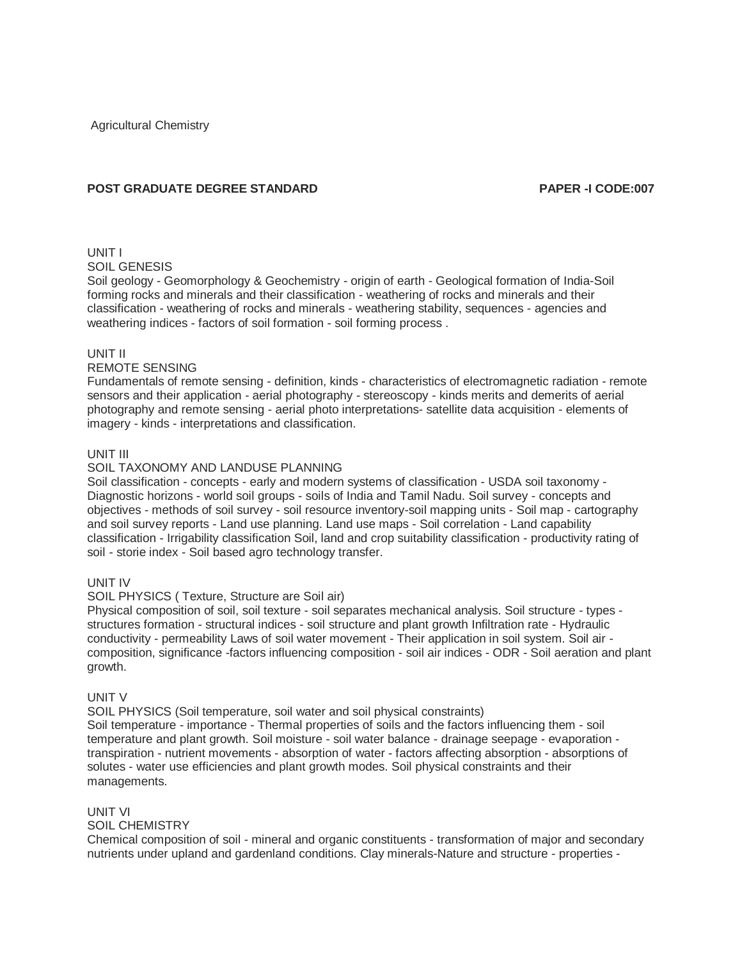Agricultural Chemistry

# **POST GRADUATE DEGREE STANDARD PAPER -I CODE:007**

# UNIT I

SOIL GENESIS

Soil geology - Geomorphology & Geochemistry - origin of earth - Geological formation of India-Soil forming rocks and minerals and their classification - weathering of rocks and minerals and their classification - weathering of rocks and minerals - weathering stability, sequences - agencies and weathering indices - factors of soil formation - soil forming process .

## UNIT II

# REMOTE SENSING

Fundamentals of remote sensing - definition, kinds - characteristics of electromagnetic radiation - remote sensors and their application - aerial photography - stereoscopy - kinds merits and demerits of aerial photography and remote sensing - aerial photo interpretations- satellite data acquisition - elements of imagery - kinds - interpretations and classification.

## UNIT III

## SOIL TAXONOMY AND LANDUSE PLANNING

Soil classification - concepts - early and modern systems of classification - USDA soil taxonomy - Diagnostic horizons - world soil groups - soils of India and Tamil Nadu. Soil survey - concepts and objectives - methods of soil survey - soil resource inventory-soil mapping units - Soil map - cartography and soil survey reports - Land use planning. Land use maps - Soil correlation - Land capability classification - Irrigability classification Soil, land and crop suitability classification - productivity rating of soil - storie index - Soil based agro technology transfer.

## UNIT IV

#### SOIL PHYSICS ( Texture, Structure are Soil air)

Physical composition of soil, soil texture - soil separates mechanical analysis. Soil structure - types structures formation - structural indices - soil structure and plant growth Infiltration rate - Hydraulic conductivity - permeability Laws of soil water movement - Their application in soil system. Soil air composition, significance -factors influencing composition - soil air indices - ODR - Soil aeration and plant growth.

#### UNIT V

SOIL PHYSICS (Soil temperature, soil water and soil physical constraints) Soil temperature - importance - Thermal properties of soils and the factors influencing them - soil temperature and plant growth. Soil moisture - soil water balance - drainage seepage - evaporation transpiration - nutrient movements - absorption of water - factors affecting absorption - absorptions of solutes - water use efficiencies and plant growth modes. Soil physical constraints and their managements.

## UNIT VI

#### SOIL CHEMISTRY

Chemical composition of soil - mineral and organic constituents - transformation of major and secondary nutrients under upland and gardenland conditions. Clay minerals-Nature and structure - properties -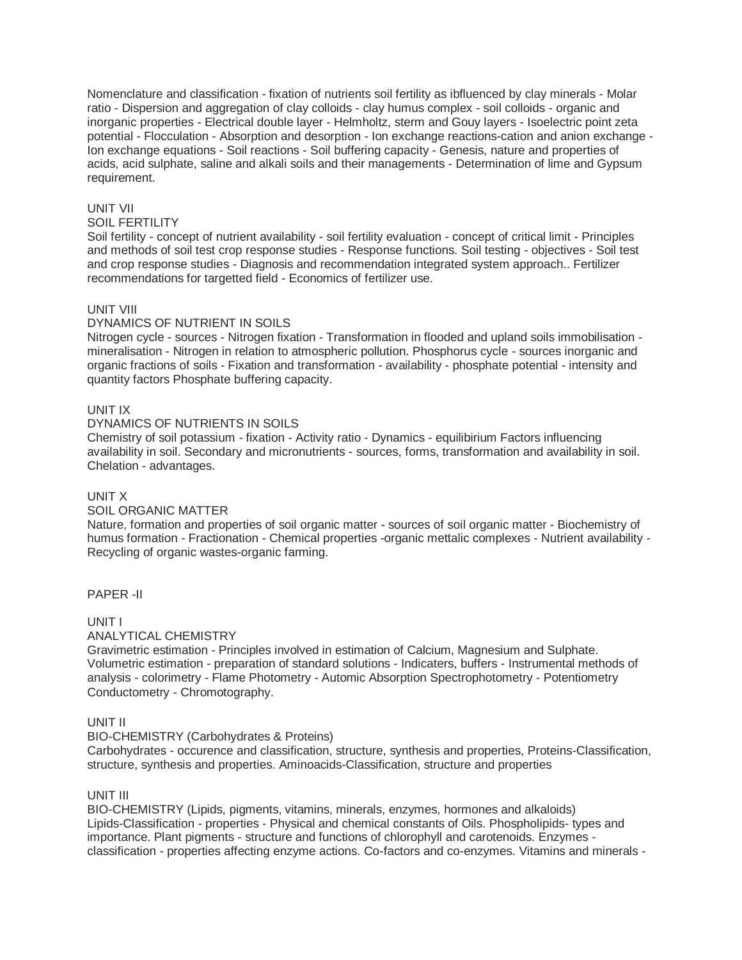Nomenclature and classification - fixation of nutrients soil fertility as ibfluenced by clay minerals - Molar ratio - Dispersion and aggregation of clay colloids - clay humus complex - soil colloids - organic and inorganic properties - Electrical double layer - Helmholtz, sterm and Gouy layers - Isoelectric point zeta potential - Flocculation - Absorption and desorption - Ion exchange reactions-cation and anion exchange - Ion exchange equations - Soil reactions - Soil buffering capacity - Genesis, nature and properties of acids, acid sulphate, saline and alkali soils and their managements - Determination of lime and Gypsum requirement.

## UNIT VII

#### SOIL FERTILITY

Soil fertility - concept of nutrient availability - soil fertility evaluation - concept of critical limit - Principles and methods of soil test crop response studies - Response functions. Soil testing - objectives - Soil test and crop response studies - Diagnosis and recommendation integrated system approach.. Fertilizer recommendations for targetted field - Economics of fertilizer use.

## UNIT VIII

## DYNAMICS OF NUTRIENT IN SOILS

Nitrogen cycle - sources - Nitrogen fixation - Transformation in flooded and upland soils immobilisation mineralisation - Nitrogen in relation to atmospheric pollution. Phosphorus cycle - sources inorganic and organic fractions of soils - Fixation and transformation - availability - phosphate potential - intensity and quantity factors Phosphate buffering capacity.

## UNIT IX

## DYNAMICS OF NUTRIENTS IN SOILS

Chemistry of soil potassium - fixation - Activity ratio - Dynamics - equilibirium Factors influencing availability in soil. Secondary and micronutrients - sources, forms, transformation and availability in soil. Chelation - advantages.

#### UNIT X

## SOIL ORGANIC MATTER

Nature, formation and properties of soil organic matter - sources of soil organic matter - Biochemistry of humus formation - Fractionation - Chemical properties -organic mettalic complexes - Nutrient availability - Recycling of organic wastes-organic farming.

## PAPER -II

## UNIT I

## ANALYTICAL CHEMISTRY

Gravimetric estimation - Principles involved in estimation of Calcium, Magnesium and Sulphate. Volumetric estimation - preparation of standard solutions - Indicaters, buffers - Instrumental methods of analysis - colorimetry - Flame Photometry - Automic Absorption Spectrophotometry - Potentiometry Conductometry - Chromotography.

## UNIT II

#### BIO-CHEMISTRY (Carbohydrates & Proteins)

Carbohydrates - occurence and classification, structure, synthesis and properties, Proteins-Classification, structure, synthesis and properties. Aminoacids-Classification, structure and properties

## UNIT III

BIO-CHEMISTRY (Lipids, pigments, vitamins, minerals, enzymes, hormones and alkaloids) Lipids-Classification - properties - Physical and chemical constants of Oils. Phospholipids- types and importance. Plant pigments - structure and functions of chlorophyll and carotenoids. Enzymes classification - properties affecting enzyme actions. Co-factors and co-enzymes. Vitamins and minerals -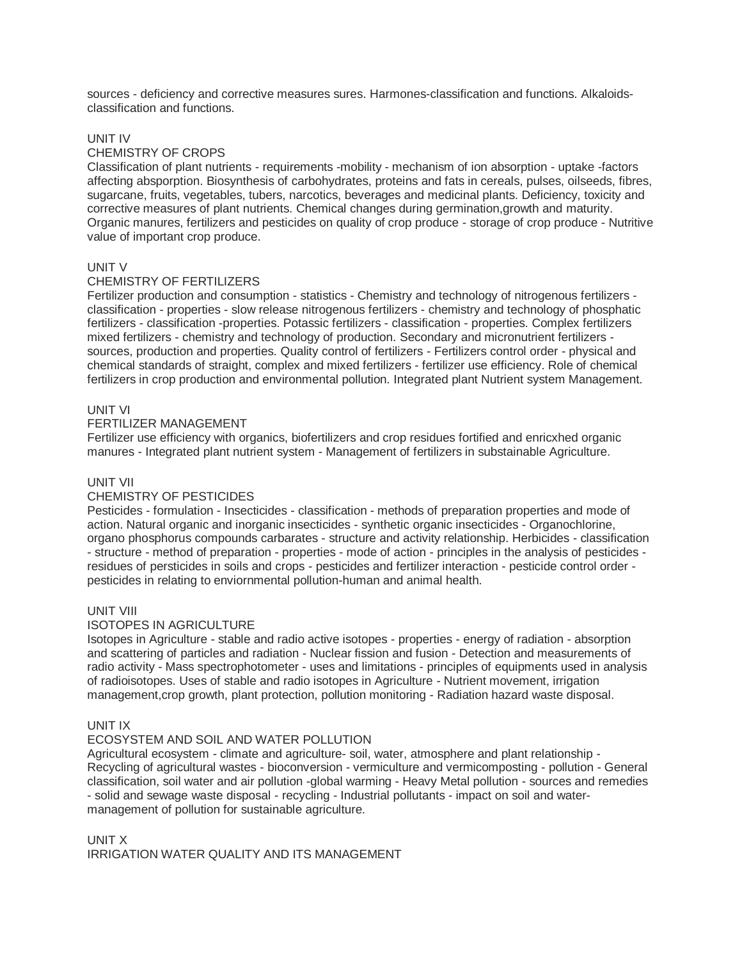sources - deficiency and corrective measures sures. Harmones-classification and functions. Alkaloidsclassification and functions.

## UNIT IV

## CHEMISTRY OF CROPS

Classification of plant nutrients - requirements -mobility - mechanism of ion absorption - uptake -factors affecting absporption. Biosynthesis of carbohydrates, proteins and fats in cereals, pulses, oilseeds, fibres, sugarcane, fruits, vegetables, tubers, narcotics, beverages and medicinal plants. Deficiency, toxicity and corrective measures of plant nutrients. Chemical changes during germination,growth and maturity. Organic manures, fertilizers and pesticides on quality of crop produce - storage of crop produce - Nutritive value of important crop produce.

## UNIT V

## CHEMISTRY OF FERTILIZERS

Fertilizer production and consumption - statistics - Chemistry and technology of nitrogenous fertilizers classification - properties - slow release nitrogenous fertilizers - chemistry and technology of phosphatic fertilizers - classification -properties. Potassic fertilizers - classification - properties. Complex fertilizers mixed fertilizers - chemistry and technology of production. Secondary and micronutrient fertilizers sources, production and properties. Quality control of fertilizers - Fertilizers control order - physical and chemical standards of straight, complex and mixed fertilizers - fertilizer use efficiency. Role of chemical fertilizers in crop production and environmental pollution. Integrated plant Nutrient system Management.

#### UNIT VI

#### FERTILIZER MANAGEMENT

Fertilizer use efficiency with organics, biofertilizers and crop residues fortified and enricxhed organic manures - Integrated plant nutrient system - Management of fertilizers in substainable Agriculture.

#### UNIT VII

#### CHEMISTRY OF PESTICIDES

Pesticides - formulation - Insecticides - classification - methods of preparation properties and mode of action. Natural organic and inorganic insecticides - synthetic organic insecticides - Organochlorine, organo phosphorus compounds carbarates - structure and activity relationship. Herbicides - classification - structure - method of preparation - properties - mode of action - principles in the analysis of pesticides residues of persticides in soils and crops - pesticides and fertilizer interaction - pesticide control order pesticides in relating to enviornmental pollution-human and animal health.

#### UNIT VIII

#### ISOTOPES IN AGRICULTURE

Isotopes in Agriculture - stable and radio active isotopes - properties - energy of radiation - absorption and scattering of particles and radiation - Nuclear fission and fusion - Detection and measurements of radio activity - Mass spectrophotometer - uses and limitations - principles of equipments used in analysis of radioisotopes. Uses of stable and radio isotopes in Agriculture - Nutrient movement, irrigation management,crop growth, plant protection, pollution monitoring - Radiation hazard waste disposal.

#### UNIT IX

## ECOSYSTEM AND SOIL AND WATER POLLUTION

Agricultural ecosystem - climate and agriculture- soil, water, atmosphere and plant relationship - Recycling of agricultural wastes - bioconversion - vermiculture and vermicomposting - pollution - General classification, soil water and air pollution -global warming - Heavy Metal pollution - sources and remedies - solid and sewage waste disposal - recycling - Industrial pollutants - impact on soil and watermanagement of pollution for sustainable agriculture.

UNIT X IRRIGATION WATER QUALITY AND ITS MANAGEMENT